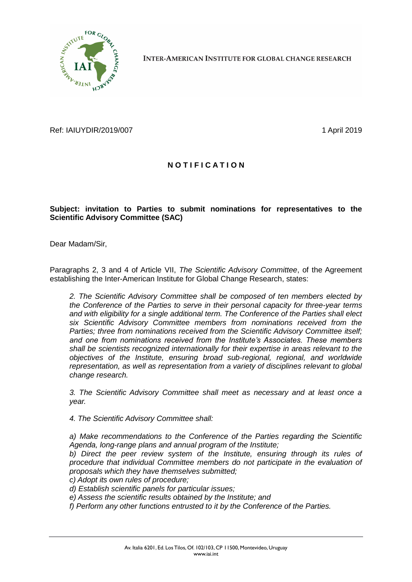

**INTER-AMERICAN INSTITUTE FOR GLOBAL CHANGE RESEARCH** 

Ref: IAIUYDIR/2019/007 1 April 2019

## **N O T I F I C A T I O N**

## **Subject: invitation to Parties to submit nominations for representatives to the Scientific Advisory Committee (SAC)**

Dear Madam/Sir,

Paragraphs 2, 3 and 4 of Article VII, *The Scientific Advisory Committee*, of the Agreement establishing the Inter-American Institute for Global Change Research, states:

*2. The Scientific Advisory Committee shall be composed of ten members elected by the Conference of the Parties to serve in their personal capacity for three-year terms and with eligibility for a single additional term. The Conference of the Parties shall elect six Scientific Advisory Committee members from nominations received from the Parties; three from nominations received from the Scientific Advisory Committee itself; and one from nominations received from the Institute's Associates. These members shall be scientists recognized internationally for their expertise in areas relevant to the objectives of the Institute, ensuring broad sub-regional, regional, and worldwide representation, as well as representation from a variety of disciplines relevant to global change research.*

*3. The Scientific Advisory Committee shall meet as necessary and at least once a year.*

*4. The Scientific Advisory Committee shall:*

*a) Make recommendations to the Conference of the Parties regarding the Scientific Agenda, long-range plans and annual program of the Institute;*

*b) Direct the peer review system of the Institute, ensuring through its rules of procedure that individual Committee members do not participate in the evaluation of proposals which they have themselves submitted;*

- *c) Adopt its own rules of procedure;*
- *d) Establish scientific panels for particular issues;*
- *e) Assess the scientific results obtained by the Institute; and*
- *f) Perform any other functions entrusted to it by the Conference of the Parties.*